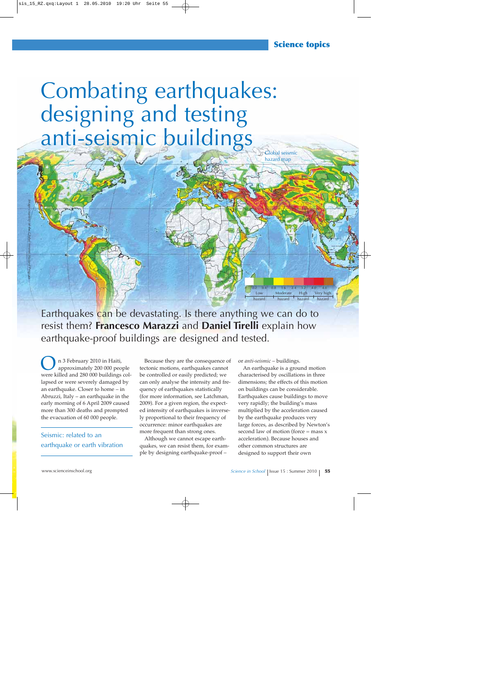## **Science topics**

hazard map

# Global seismic Combating earthquakes: designing and testing anti-seismic buildings

*Image courtesy of the Global Seismic Hazard Program*

Earthquakes can be devastating. Is there anything we can do to resist them? **Francesco Marazzi** and **Daniel Tirelli** explain how earthquake-proof buildings are designed and tested.

n 3 February 2010 in Haiti,<br>approximately 200 000 people were killed and 280 000 buildings collapsed or were severely damaged by an earthquake. Closer to home – in Abruzzi, Italy – an earthquake in the early morning of 6 April 2009 caused more than 300 deaths and prompted the evacuation of 60 000 people.

### Seismic: related to an earthquake or earth vibration

Because they are the consequence of tectonic motions, earthquakes cannot be controlled or easily predicted; we can only analyse the intensity and frequency of earthquakes statistically (for more information, see Latchman, 2009). For a given region, the expected intensity of earthquakes is inversely proportional to their frequency of occurrence: minor earthquakes are more frequent than strong ones.

Although we cannot escape earthquakes, we can resist them, for example by designing earthquake-proof –

or *anti-seismic* – buildings.

Low

hazard

An earthquake is a ground motion characterised by oscillations in three dimensions; the effects of this motion on buildings can be considerable. Earthquakes cause buildings to move very rapidly; the building's mass multiplied by the acceleration caused by the earthquake produces very large forces, as described by Newton's second law of motion (force  $=$  mass  $x$ ) acceleration). Because houses and other common structures are designed to support their own

0 0.2 0.4 0.8 1.6 2.4 3.2 4.0 4.8

High hazard Very high hazard

Moderate hazard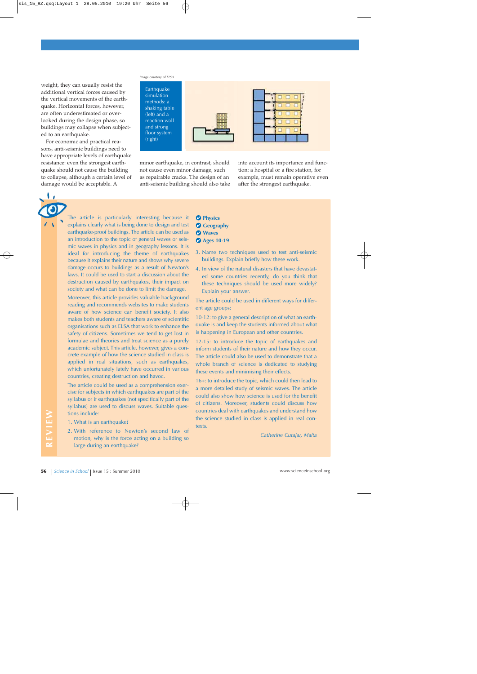weight, they can usually resist the additional vertical forces caused by the vertical movements of the earthquake. Horizontal forces, however, are often underestimated or overlooked during the design phase, so buildings may collapse when subjected to an earthquake.

For economic and practical reasons, anti-seismic buildings need to have appropriate levels of earthquake resistance: even the strongest earthquake should not cause the building to collapse, although a certain level of damage would be acceptable. A

**1,** 

#### *Image courtesy of ELSA*



minor earthquake, in contrast, should not cause even minor damage, such as repairable cracks. The design of an anti-seismic building should also take into account its importance and function: a hospital or a fire station, for example, must remain operative even after the strongest earthquake.

The article is particularly interesting because it explains clearly what is being done to design and test earthquake-proof buildings. The article can be used as an introduction to the topic of general waves or seismic waves in physics and in geography lessons. It is ideal for introducing the theme of earthquakes because it explains their nature and shows why severe damage occurs to buildings as a result of Newton's laws. It could be used to start a discussion about the destruction caused by earthquakes, their impact on society and what can be done to limit the damage.

Moreover, this article provides valuable background reading and recommends websites to make students aware of how science can benefit society. It also makes both students and teachers aware of scientific organisations such as ELSA that work to enhance the safety of citizens. Sometimes we tend to get lost in formulae and theories and treat science as a purely academic subject. This article, however, gives a concrete example of how the science studied in class is applied in real situations, such as earthquakes, which unfortunately lately have occurred in various countries, creating destruction and havoc.

The article could be used as a comprehension exercise for subjects in which earthquakes are part of the syllabus or if earthquakes (not specifically part of the syllabus) are used to discuss waves. Suitable questions include:

- 1. What is an earthquake?
- 2. With reference to Newton's second law of motion, why is the force acting on a building so large during an earthquake?
- **Physics Geography**
- **Waves**
- **Ages 10-19**
	-
- 3. Name two techniques used to test anti-seismic buildings. Explain briefly how these work.
- 4. In view of the natural disasters that have devastated some countries recently, do you think that these techniques should be used more widely? Explain your answer.

The article could be used in different ways for different age groups:

10-12: to give a general description of what an earthquake is and keep the students informed about what is happening in European and other countries.

12-15: to introduce the topic of earthquakes and inform students of their nature and how they occur. The article could also be used to demonstrate that a whole branch of science is dedicated to studying these events and minimising their effects.

16+: to introduce the topic, which could then lead to a more detailed study of seismic waves. The article could also show how science is used for the benefit of citizens. Moreover, students could discuss how countries deal with earthquakes and understand how the science studied in class is applied in real contexts.

*Catherine Cutajar, Malta*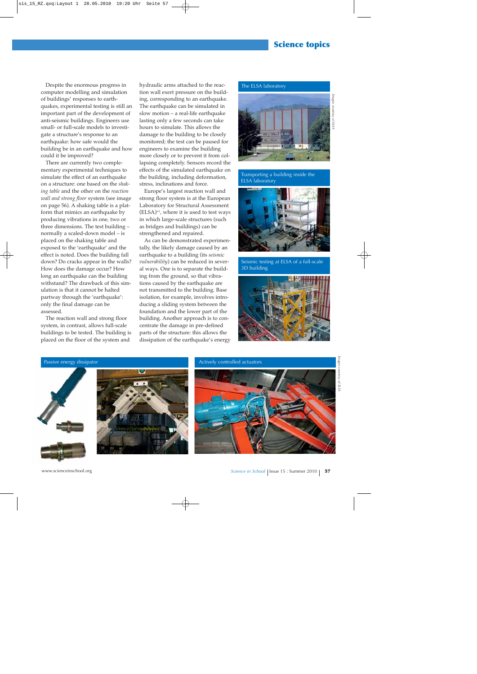## **Science topics**

Despite the enormous progress in computer modelling and simulation of buildings' responses to earthquakes, experimental testing is still an important part of the development of anti-seismic buildings. Engineers use small- or full-scale models to investigate a structure's response to an earthquake: how safe would the building be in an earthquake and how could it be improved?

There are currently two complementary experimental techniques to simulate the effect of an earthquake on a structure: one based on the *shaking table* and the other on the *reaction wall and strong floor* system (see image on page 56). A shaking table is a platform that mimics an earthquake by producing vibrations in one, two or three dimensions. The test building – normally a scaled-down model – is placed on the shaking table and exposed to the 'earthquake' and the effect is noted. Does the building fall down? Do cracks appear in the walls? How does the damage occur? How long an earthquake can the building withstand? The drawback of this simulation is that it cannot be halted partway through the 'earthquake': only the final damage can be assessed.

The reaction wall and strong floor system, in contrast, allows full-scale buildings to be tested. The building is placed on the floor of the system and

hydraulic arms attached to the reaction wall exert pressure on the building, corresponding to an earthquake. The earthquake can be simulated in slow motion – a real-life earthquake lasting only a few seconds can take hours to simulate. This allows the damage to the building to be closely monitored; the test can be paused for engineers to examine the building more closely or to prevent it from collapsing completely. Sensors record the effects of the simulated earthquake on the building, including deformation, stress, inclinations and force.

Europe's largest reaction wall and strong floor system is at the European Laboratory for Structural Assessment  $(ELSA)^{wt}$ , where it is used to test ways in which large-scale structures (such as bridges and buildings) can be strengthened and repaired.

As can be demonstrated experimentally, the likely damage caused by an earthquake to a building (its *seismic vulnerability*) can be reduced in several ways. One is to separate the building from the ground, so that vibrations caused by the earthquake are not transmitted to the building. Base isolation, for example, involves introducing a sliding system between the foundation and the lower part of the building. Another approach is to concentrate the damage in pre-defined parts of the structure: this allows the dissipation of the earthquake's energy

#### The ELSA laboratory



Transporting a building inside the ELSA laboratory



Seismic testing at ELSA of a full-scale 3D building





Actively controlled actuators

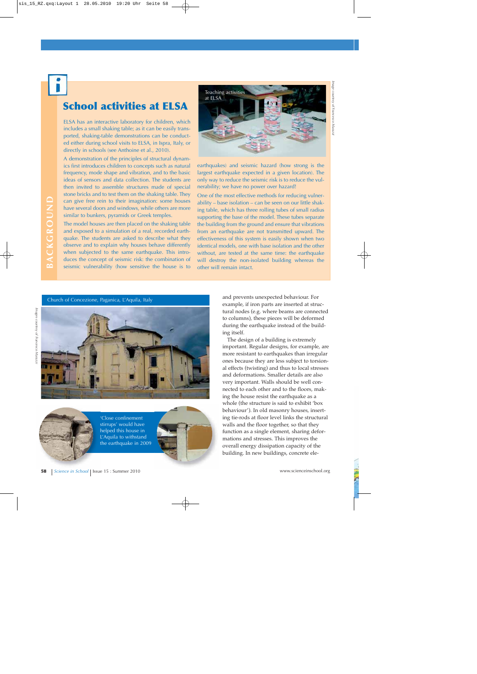## **School activities at ELSA**

ELSA has an interactive laboratory for children, which includes a small shaking table; as it can be easily transported, shaking-table demonstrations can be conducted either during school visits to ELSA, in Ispra, Italy, or directly in schools (see Anthoine et al., 2010).

A demonstration of the principles of structural dynamics first introduces children to concepts such as natural frequency, mode shape and vibration, and to the basic ideas of sensors and data collection. The students are then invited to assemble structures made of special stone bricks and to test them on the shaking table. They can give free rein to their imagination: some houses have several doors and windows, while others are more similar to bunkers, pyramids or Greek temples.

The model houses are then placed on the shaking table and exposed to a simulation of a real, recorded earthquake. The students are asked to describe what they observe and to explain why houses behave differently when subjected to the same earthquake. This introduces the concept of seismic risk: the combination of seismic vulnerability (how sensitive the house is to



earthquakes) and seismic hazard (how strong is the largest earthquake expected in a given location). The only way to reduce the seismic risk is to reduce the vulnerability; we have no power over hazard!

One of the most effective methods for reducing vulnerability – base isolation – can be seen on our little shaking table, which has three rolling tubes of small radius supporting the base of the model. These tubes separate the building from the ground and ensure that vibrations from an earthquake are not transmitted upward. The effectiveness of this system is easily shown when two identical models, one with base isolation and the other without, are tested at the same time: the earthquake will destroy the non-isolated building whereas the other will remain intact.

*Images courtesy of Francesco Marazzi*

Images courtesy of Francesco Marazz



'Close confinement stirrups' would have helped this house in L'Aquila to withstand the earthquake in 2009



Church of Concezione, Paganica, L'Aquila, Italy and prevents unexpected behaviour. For example, if iron parts are inserted at structural nodes (e.g. where beams are connected to columns), these pieces will be deformed during the earthquake instead of the building itself.

> The design of a building is extremely important. Regular designs, for example, are more resistant to earthquakes than irregular ones because they are less subject to torsional effects (twisting) and thus to local stresses and deformations. Smaller details are also very important. Walls should be well connected to each other and to the floors, making the house resist the earthquake as a whole (the structure is said to exhibit 'box behaviour'). In old masonry houses, inserting tie-rods at floor level links the structural walls and the floor together, so that they function as a single element, sharing deformations and stresses. This improves the overall energy dissipation capacity of the building. In new buildings, concrete ele